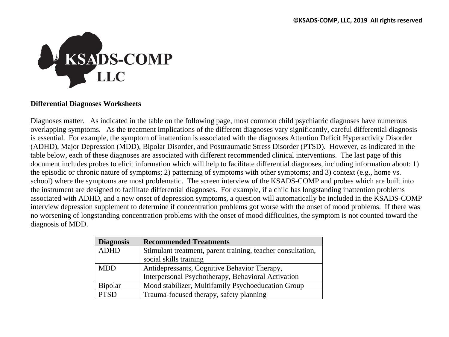

## **Differential Diagnoses Worksheets**

Diagnoses matter. As indicated in the table on the following page, most common child psychiatric diagnoses have numerous overlapping symptoms. As the treatment implications of the different diagnoses vary significantly, careful differential diagnosis is essential. For example, the symptom of inattention is associated with the diagnoses Attention Deficit Hyperactivity Disorder (ADHD), Major Depression (MDD), Bipolar Disorder, and Posttraumatic Stress Disorder (PTSD). However, as indicated in the table below, each of these diagnoses are associated with different recommended clinical interventions. The last page of this document includes probes to elicit information which will help to facilitate differential diagnoses, including information about: 1) the episodic or chronic nature of symptoms; 2) patterning of symptoms with other symptoms; and 3) context (e.g., home vs. school) where the symptoms are most problematic. The screen interview of the KSADS-COMP and probes which are built into the instrument are designed to facilitate differential diagnoses. For example, if a child has longstanding inattention problems associated with ADHD, and a new onset of depression symptoms, a question will automatically be included in the KSADS-COMP interview depression supplement to determine if concentration problems got worse with the onset of mood problems. If there was no worsening of longstanding concentration problems with the onset of mood difficulties, the symptom is not counted toward the diagnosis of MDD.

| <b>Diagnosis</b> | <b>Recommended Treatments</b>                               |  |  |
|------------------|-------------------------------------------------------------|--|--|
| <b>ADHD</b>      | Stimulant treatment, parent training, teacher consultation, |  |  |
|                  | social skills training                                      |  |  |
| <b>MDD</b>       | Antidepressants, Cognitive Behavior Therapy,                |  |  |
|                  | Interpersonal Psychotherapy, Behavioral Activation          |  |  |
| <b>Bipolar</b>   | Mood stabilizer, Multifamily Psychoeducation Group          |  |  |
| <b>PTSD</b>      | Trauma-focused therapy, safety planning                     |  |  |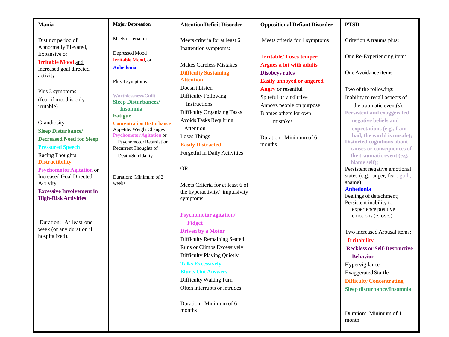| Mania                                                                                                                                      | <b>Major Depression</b>                                                                                                                                                                                                                                                                                                                                                | <b>Attention Deficit Disorder</b>                                                    | <b>Oppositional Defiant Disorder</b>                             | <b>PTSD</b>                                                                                 |                                                        |
|--------------------------------------------------------------------------------------------------------------------------------------------|------------------------------------------------------------------------------------------------------------------------------------------------------------------------------------------------------------------------------------------------------------------------------------------------------------------------------------------------------------------------|--------------------------------------------------------------------------------------|------------------------------------------------------------------|---------------------------------------------------------------------------------------------|--------------------------------------------------------|
| Distinct period of<br>Abnormally Elevated,                                                                                                 | Meets criteria for:                                                                                                                                                                                                                                                                                                                                                    | Meets criteria for at least 6                                                        | Meets criteria for 4 symptoms                                    | Criterion A trauma plus:                                                                    |                                                        |
| Expansive or<br><b>Irritable Mood and</b><br>increased goal directed<br>activity<br>Plus 3 symptoms<br>(four if mood is only<br>irritable) | Depressed Mood<br><b>Irritable Mood</b> , or<br><b>Anhedonia</b><br>Plus 4 symptoms<br><b>Worthlessness/Guilt</b><br><b>Sleep Disturbances/</b><br><b>Insomnia</b><br><b>Fatigue</b><br><b>Concentration Disturbance</b><br>Appetite/Weight Changes<br><b>Psychomotor Agitation or</b><br><b>Psychomotor Retardation</b><br>Recurrent Thoughts of<br>Death/Suicidality | Inattention symptoms:<br><b>Makes Careless Mistakes</b>                              | <b>Irritable/Loses temper</b><br><b>Argues a lot with adults</b> | One Re-Experiencing item:                                                                   |                                                        |
|                                                                                                                                            |                                                                                                                                                                                                                                                                                                                                                                        | <b>Difficulty Sustaining</b><br><b>Attention</b>                                     | <b>Disobeys rules</b><br><b>Easily annoyed or angered</b>        | One Avoidance items:                                                                        |                                                        |
|                                                                                                                                            |                                                                                                                                                                                                                                                                                                                                                                        | Doesn't Listen<br>Difficulty Following                                               | <b>Angry</b> or resentful<br>Spiteful or vindictive              | Two of the following:<br>Inability to recall aspects of                                     |                                                        |
|                                                                                                                                            |                                                                                                                                                                                                                                                                                                                                                                        | Instructions<br><b>Difficulty Organizing Tasks</b><br><b>Avoids Tasks Requiring</b>  | Annoys people on purpose<br>Blames others for own                | the traumatic event(s);<br><b>Persistent and exaggerated</b><br>negative beliefs and        |                                                        |
| Grandiosity<br><b>Sleep Disturbance/</b><br><b>Decreased Need for Sleep</b>                                                                |                                                                                                                                                                                                                                                                                                                                                                        |                                                                                      | Attention<br><b>Loses Things</b>                                 | mistakes<br>Duration: Minimum of 6                                                          | expectations (e.g., I am<br>bad, the world is unsafe); |
| <b>Pressured Speech</b><br><b>Racing Thoughts</b>                                                                                          |                                                                                                                                                                                                                                                                                                                                                                        | <b>Easily Distracted</b><br>months<br>Forgetful in Daily Activities                  |                                                                  | <b>Distorted cognitions about</b><br>causes or consequences of<br>the traumatic event (e.g. |                                                        |
| <b>Distractibility</b><br><b>Psychomotor Agitation or</b><br><b>Increased Goal Directed</b>                                                | Duration: Minimum of 2                                                                                                                                                                                                                                                                                                                                                 | <b>OR</b>                                                                            |                                                                  | blame self);<br>Persistent negative emotional<br>states (e.g., anger, fear, guilt,          |                                                        |
| Activity<br><b>Excessive Involvement in</b><br><b>High-Risk Activities</b>                                                                 | weeks                                                                                                                                                                                                                                                                                                                                                                  | Meets Criteria for at least 6 of<br>the hyperactivity/ impulsivity<br>symptoms:      |                                                                  | shame)<br><b>Anhedonia</b><br>Feelings of detachment;<br>Persistent inability to            |                                                        |
| Duration: At least one                                                                                                                     |                                                                                                                                                                                                                                                                                                                                                                        | <b>Psychomotor agitation/</b><br><b>Fidget</b>                                       |                                                                  | experience positive<br>emotions (e.love,)                                                   |                                                        |
| week (or any duration if<br>hospitalized).                                                                                                 |                                                                                                                                                                                                                                                                                                                                                                        | <b>Driven by a Motor</b><br><b>Difficulty Remaining Seated</b>                       |                                                                  | Two Increased Arousal items:<br><b>Irritability</b>                                         |                                                        |
|                                                                                                                                            |                                                                                                                                                                                                                                                                                                                                                                        | Runs or Climbs Excessively<br>Difficulty Playing Quietly<br><b>Talks Excessively</b> |                                                                  | <b>Reckless or Self-Destructive</b><br><b>Behavior</b><br>Hypervigilance                    |                                                        |
|                                                                                                                                            |                                                                                                                                                                                                                                                                                                                                                                        | <b>Blurts Out Answers</b><br>Difficulty Waiting Turn                                 |                                                                  | <b>Exaggerated Startle</b><br><b>Difficulty Concentrating</b>                               |                                                        |
|                                                                                                                                            |                                                                                                                                                                                                                                                                                                                                                                        | Often interrupts or intrudes                                                         |                                                                  | Sleep disturbance/Insomnia                                                                  |                                                        |
|                                                                                                                                            |                                                                                                                                                                                                                                                                                                                                                                        | Duration: Minimum of 6<br>months                                                     |                                                                  | Duration: Minimum of 1<br>month                                                             |                                                        |